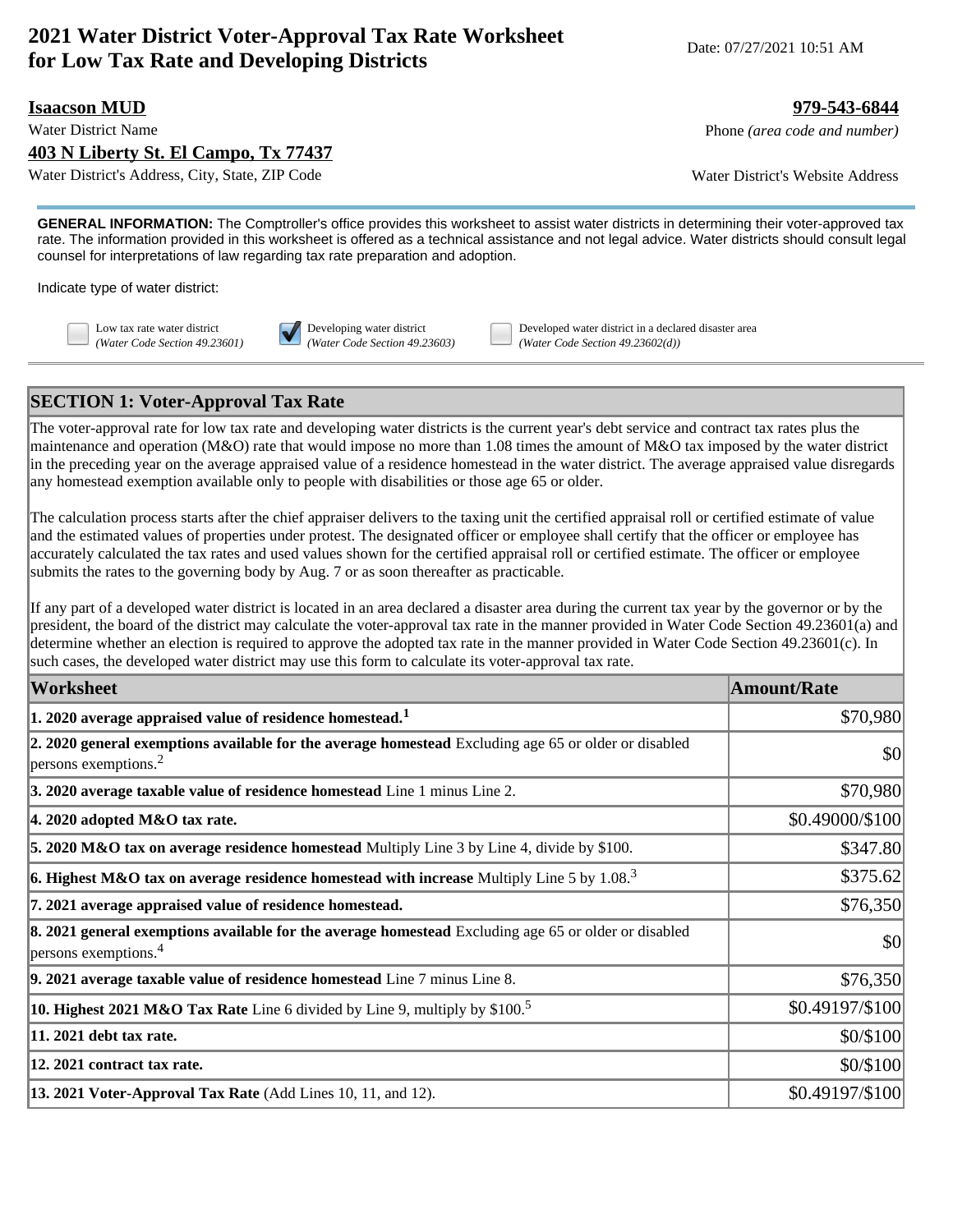# **2021 Water District Voter-Approval Tax Rate Worksheet for Low Tax Rate and Developing Districts** Date: 07/27/2021 10:51 AM<br>**for Low Tax Rate and Developing Districts**

### **Isaacson MUD 979-543-6844**

**403 N Liberty St. El Campo, Tx 77437**

Water District's Address, City, State, ZIP Code Water District's Website Address

Water District Name **Phone** *(area code and number)* Phone *(area code and number)* 

**GENERAL INFORMATION:** The Comptroller's office provides this worksheet to assist water districts in determining their voter-approved tax rate. The information provided in this worksheet is offered as a technical assistance and not legal advice. Water districts should consult legal counsel for interpretations of law regarding tax rate preparation and adoption.

Indicate type of water district:



Low tax rate water district **Developing water district** Developed water district in a declared disaster area *(Water Code Section 49.23601) (Water Code Section 49.23603) (Water Code Section 49.23602(d))*

## **SECTION 1: Voter-Approval Tax Rate**

The voter-approval rate for low tax rate and developing water districts is the current year's debt service and contract tax rates plus the maintenance and operation (M&O) rate that would impose no more than 1.08 times the amount of M&O tax imposed by the water district in the preceding year on the average appraised value of a residence homestead in the water district. The average appraised value disregards any homestead exemption available only to people with disabilities or those age 65 or older.

The calculation process starts after the chief appraiser delivers to the taxing unit the certified appraisal roll or certified estimate of value and the estimated values of properties under protest. The designated officer or employee shall certify that the officer or employee has accurately calculated the tax rates and used values shown for the certified appraisal roll or certified estimate. The officer or employee submits the rates to the governing body by Aug. 7 or as soon thereafter as practicable.

If any part of a developed water district is located in an area declared a disaster area during the current tax year by the governor or by the president, the board of the district may calculate the voter-approval tax rate in the manner provided in Water Code Section 49.23601(a) and determine whether an election is required to approve the adopted tax rate in the manner provided in Water Code Section 49.23601(c). In such cases, the developed water district may use this form to calculate its voter-approval tax rate.

| <b>Worksheet</b>                                                                                                                             | <b>Amount/Rate</b> |
|----------------------------------------------------------------------------------------------------------------------------------------------|--------------------|
| $ 1$ . 2020 average appraised value of residence homestead. $^1$                                                                             | \$70,980           |
| 2. 2020 general exemptions available for the average homestead Excluding age 65 or older or disabled<br>$ p$ ersons exemptions. <sup>2</sup> | \$0                |
| 3. 2020 average taxable value of residence homestead Line 1 minus Line 2.                                                                    | \$70,980           |
| $ 4.2020$ adopted M&O tax rate.                                                                                                              | \$0.49000/\$100    |
| 5. 2020 M&O tax on average residence homestead Multiply Line 3 by Line 4, divide by \$100.                                                   | \$347.80           |
| <b>6. Highest M&amp;O tax on average residence homestead with increase</b> Multiply Line 5 by 1.08. <sup>3</sup>                             | \$375.62           |
| 7. 2021 average appraised value of residence homestead.                                                                                      | \$76,350           |
| 8. 2021 general exemptions available for the average homestead Excluding age 65 or older or disabled<br>$ $ persons exemptions. <sup>4</sup> | \$0                |
| $\vert$ 9. 2021 average taxable value of residence homestead Line $7$ minus Line 8.                                                          | \$76,350           |
| <b>10. Highest 2021 M&amp;O Tax Rate</b> Line 6 divided by Line 9, multiply by \$100. <sup>5</sup>                                           | \$0.49197/\$100    |
| 11. 2021 debt tax rate.                                                                                                                      | \$0/\$100          |
| 12. 2021 contract tax rate.                                                                                                                  | \$0/\$100          |
| 13. 2021 Voter-Approval Tax Rate (Add Lines 10, 11, and 12).                                                                                 | \$0.49197/\$100    |